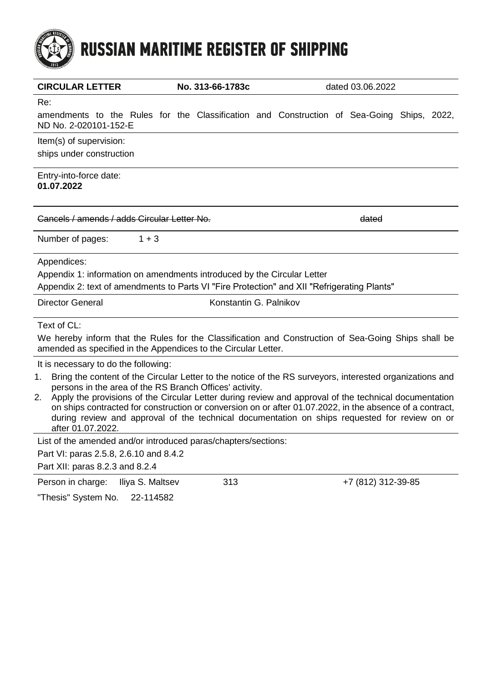

| <b>CIRCULAR LETTER</b>                                                                                                                                                                                                  | No. 313-66-1783c       | dated 03.06.2022 |                    |  |  |
|-------------------------------------------------------------------------------------------------------------------------------------------------------------------------------------------------------------------------|------------------------|------------------|--------------------|--|--|
| Re:                                                                                                                                                                                                                     |                        |                  |                    |  |  |
| amendments to the Rules for the Classification and Construction of Sea-Going Ships, 2022,<br>ND No. 2-020101-152-E                                                                                                      |                        |                  |                    |  |  |
| Item(s) of supervision:<br>ships under construction                                                                                                                                                                     |                        |                  |                    |  |  |
| Entry-into-force date:<br>01.07.2022                                                                                                                                                                                    |                        |                  |                    |  |  |
| Cancels / amends / adds Circular Letter No.                                                                                                                                                                             |                        |                  | dated              |  |  |
| $1 + 3$<br>Number of pages:                                                                                                                                                                                             |                        |                  |                    |  |  |
| Appendices:                                                                                                                                                                                                             |                        |                  |                    |  |  |
| Appendix 1: information on amendments introduced by the Circular Letter                                                                                                                                                 |                        |                  |                    |  |  |
| Appendix 2: text of amendments to Parts VI "Fire Protection" and XII "Refrigerating Plants"                                                                                                                             |                        |                  |                    |  |  |
| <b>Director General</b>                                                                                                                                                                                                 | Konstantin G. Palnikov |                  |                    |  |  |
| Text of CL:                                                                                                                                                                                                             |                        |                  |                    |  |  |
| We hereby inform that the Rules for the Classification and Construction of Sea-Going Ships shall be                                                                                                                     |                        |                  |                    |  |  |
| amended as specified in the Appendices to the Circular Letter.                                                                                                                                                          |                        |                  |                    |  |  |
| It is necessary to do the following:                                                                                                                                                                                    |                        |                  |                    |  |  |
| Bring the content of the Circular Letter to the notice of the RS surveyors, interested organizations and<br>1.                                                                                                          |                        |                  |                    |  |  |
| persons in the area of the RS Branch Offices' activity.                                                                                                                                                                 |                        |                  |                    |  |  |
| Apply the provisions of the Circular Letter during review and approval of the technical documentation<br>2.<br>on ships contracted for construction or conversion on or after 01.07.2022, in the absence of a contract, |                        |                  |                    |  |  |
| during review and approval of the technical documentation on ships requested for review on or                                                                                                                           |                        |                  |                    |  |  |
| after 01.07.2022.                                                                                                                                                                                                       |                        |                  |                    |  |  |
| List of the amended and/or introduced paras/chapters/sections:                                                                                                                                                          |                        |                  |                    |  |  |
| Part VI: paras 2.5.8, 2.6.10 and 8.4.2                                                                                                                                                                                  |                        |                  |                    |  |  |
| Part XII: paras 8.2.3 and 8.2.4                                                                                                                                                                                         |                        |                  |                    |  |  |
| Person in charge:<br>Iliya S. Maltsev                                                                                                                                                                                   | 313                    |                  | +7 (812) 312-39-85 |  |  |

"Thesis" System No. 22-114582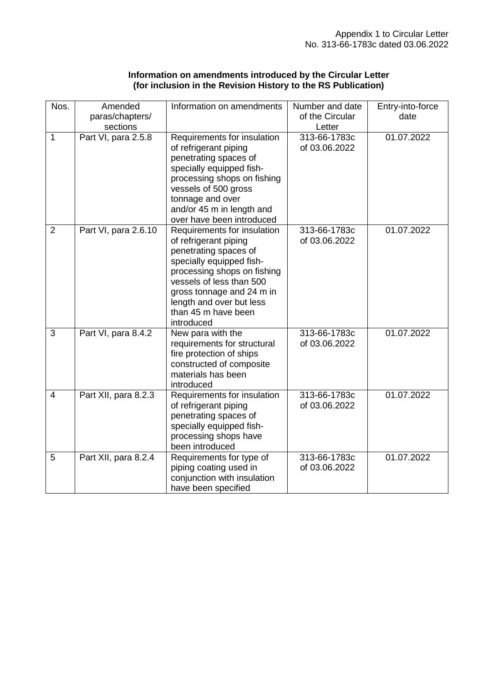| Information on amendments introduced by the Circular Letter   |  |
|---------------------------------------------------------------|--|
| (for inclusion in the Revision History to the RS Publication) |  |

| Nos.           | Amended<br>paras/chapters/<br>sections | Information on amendments                                                                                                                                                                                                                                          | Number and date<br>of the Circular<br>Letter | Entry-into-force<br>date |
|----------------|----------------------------------------|--------------------------------------------------------------------------------------------------------------------------------------------------------------------------------------------------------------------------------------------------------------------|----------------------------------------------|--------------------------|
| $\overline{1}$ | Part VI, para 2.5.8                    | Requirements for insulation<br>of refrigerant piping<br>penetrating spaces of<br>specially equipped fish-<br>processing shops on fishing<br>vessels of 500 gross<br>tonnage and over<br>and/or 45 m in length and<br>over have been introduced                     | 313-66-1783c<br>of 03.06.2022                | 01.07.2022               |
| $\overline{2}$ | Part VI, para 2.6.10                   | Requirements for insulation<br>of refrigerant piping<br>penetrating spaces of<br>specially equipped fish-<br>processing shops on fishing<br>vessels of less than 500<br>gross tonnage and 24 m in<br>length and over but less<br>than 45 m have been<br>introduced | 313-66-1783c<br>of 03.06.2022                | 01.07.2022               |
| 3              | Part VI, para 8.4.2                    | New para with the<br>requirements for structural<br>fire protection of ships<br>constructed of composite<br>materials has been<br>introduced                                                                                                                       | 313-66-1783c<br>of 03.06.2022                | 01.07.2022               |
| $\overline{4}$ | Part XII, para 8.2.3                   | Requirements for insulation<br>of refrigerant piping<br>penetrating spaces of<br>specially equipped fish-<br>processing shops have<br>been introduced                                                                                                              | 313-66-1783c<br>of 03.06.2022                | 01.07.2022               |
| 5              | Part XII, para 8.2.4                   | Requirements for type of<br>piping coating used in<br>conjunction with insulation<br>have been specified                                                                                                                                                           | 313-66-1783c<br>of 03.06.2022                | 01.07.2022               |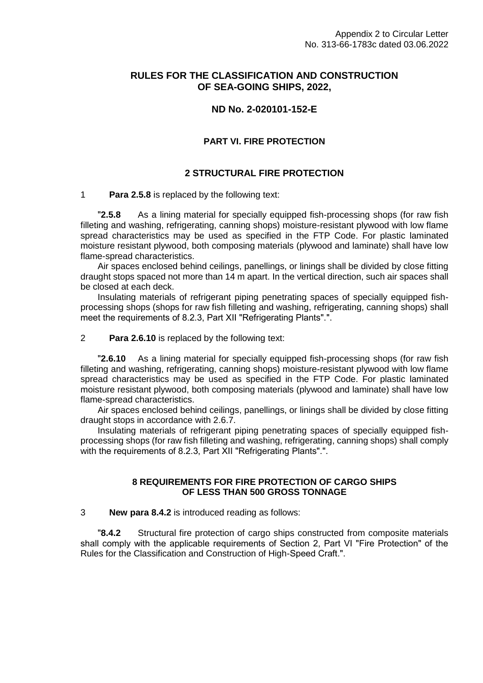## **RULES FOR THE CLASSIFICATION AND CONSTRUCTION OF SEA-GOING SHIPS, 2022,**

# **ND No. 2-020101-152-E**

## **PART VI. FIRE PROTECTION**

## **2 STRUCTURAL FIRE PROTECTION**

### 1 **Para 2.5.8** is replaced by the following text:

**"2.5.8** As a lining material for specially equipped fish-processing shops (for raw fish filleting and washing, refrigerating, canning shops) moisture-resistant plywood with low flame spread characteristics may be used as specified in the FTP Code. For plastic laminated moisture resistant plywood, both composing materials (plywood and laminate) shall have low flame-spread characteristics.

Air spaces enclosed behind ceilings, panellings, or linings shall be divided by close fitting draught stops spaced not more than 14 m apart. In the vertical direction, such air spaces shall be closed at each deck.

Insulating materials of refrigerant piping penetrating spaces of specially equipped fishprocessing shops (shops for raw fish filleting and washing, refrigerating, canning shops) shall meet the requirements of 8.2.3, Part XII "Refrigerating Plants"."

### 2 **Para 2.6.10** is replaced by the following text:

**"2.6.10** As a lining material for specially equipped fish-processing shops (for raw fish filleting and washing, refrigerating, canning shops) moisture-resistant plywood with low flame spread characteristics may be used as specified in the FTP Code. For plastic laminated moisture resistant plywood, both composing materials (plywood and laminate) shall have low flame-spread characteristics.

Air spaces enclosed behind ceilings, panellings, or linings shall be divided by close fitting draught stops in accordance with 2.6.7.

Insulating materials of refrigerant piping penetrating spaces of specially equipped fishprocessing shops (for raw fish filleting and washing, refrigerating, canning shops) shall comply with the requirements of 8.2.3, Part XII "Refrigerating Plants".".

## **8 REQUIREMENTS FOR FIRE PROTECTION OF CARGO SHIPS OF LESS THAN 500 GROSS TONNAGE**

### 3 **New para 8.4.2** is introduced reading as follows:

**8.4.2** Structural fire protection of cargo ships constructed from composite materials shall comply with the applicable requirements of Section 2, Part VI "Fire Protection" of the Rules for the Classification and Construction of High-Speed Craft.".